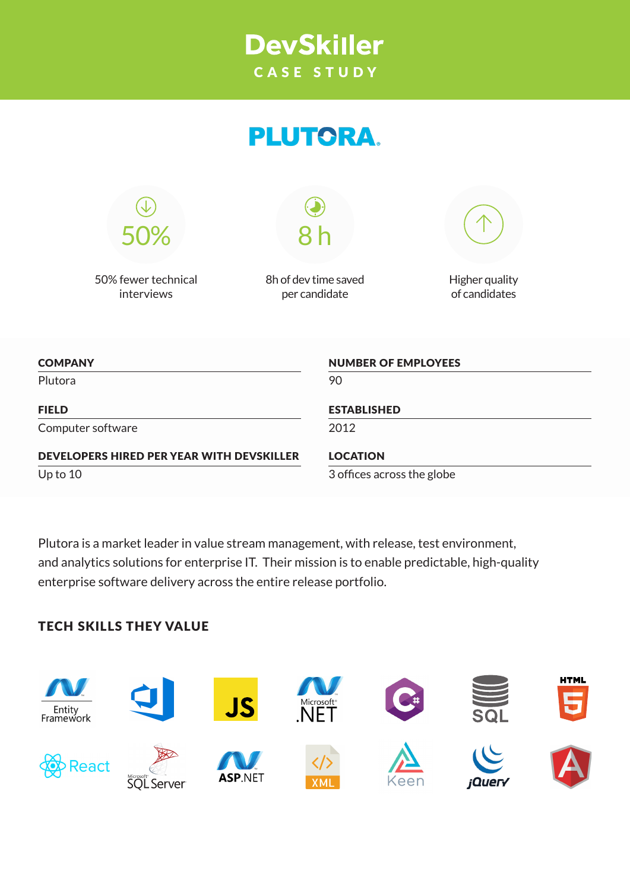## **DevSkiller** CASE STUDY

# **PLUTORA.**



50% fewer technical interviews

8h of dev time saved per candidate

8 h



Higher quality of candidates

| <b>NUMBER OF EMPLOYEES</b> |
|----------------------------|
| 90                         |
| <b>ESTABLISHED</b>         |
| 2012                       |
| <b>LOCATION</b>            |
| 3 offices across the globe |
|                            |

Plutora is a market leader in value stream management, with release, test environment, and analytics solutions for enterprise IT. Their mission is to enable predictable, high-quality enterprise software delivery across the entire release portfolio.

### TECH SKILLS THEY VALUE